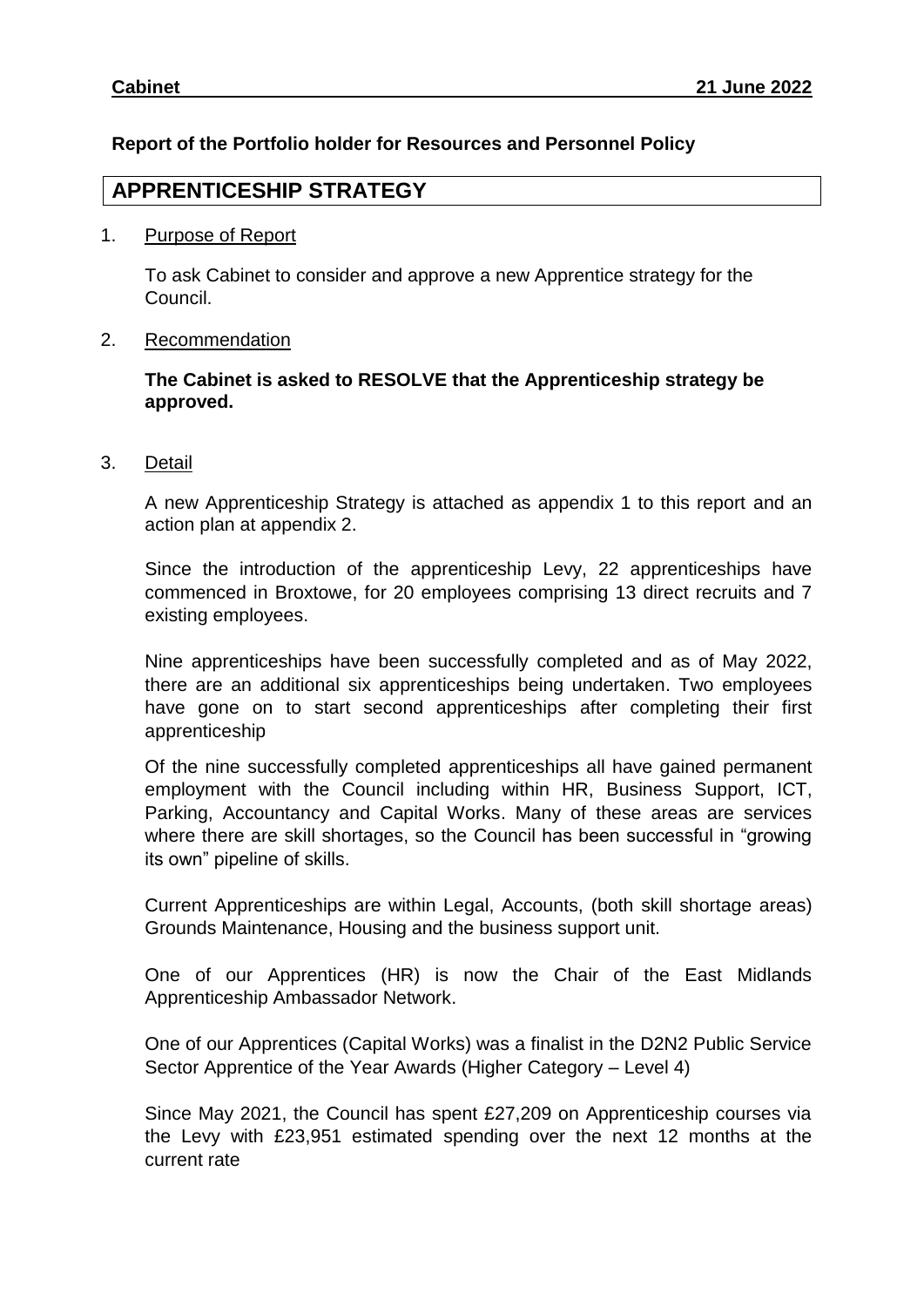# **Report of the Portfolio holder for Resources and Personnel Policy**

# **APPRENTICESHIP STRATEGY**

## 1. Purpose of Report

To ask Cabinet to consider and approve a new Apprentice strategy for the Council.

# 2. Recommendation

# **The Cabinet is asked to RESOLVE that the Apprenticeship strategy be approved.**

3. Detail

A new Apprenticeship Strategy is attached as appendix 1 to this report and an action plan at appendix 2.

Since the introduction of the apprenticeship Levy, 22 apprenticeships have commenced in Broxtowe, for 20 employees comprising 13 direct recruits and 7 existing employees.

Nine apprenticeships have been successfully completed and as of May 2022, there are an additional six apprenticeships being undertaken. Two employees have gone on to start second apprenticeships after completing their first apprenticeship

Of the nine successfully completed apprenticeships all have gained permanent employment with the Council including within HR, Business Support, ICT, Parking, Accountancy and Capital Works. Many of these areas are services where there are skill shortages, so the Council has been successful in "growing its own" pipeline of skills.

Current Apprenticeships are within Legal, Accounts, (both skill shortage areas) Grounds Maintenance, Housing and the business support unit.

One of our Apprentices (HR) is now the Chair of the East Midlands Apprenticeship Ambassador Network.

One of our Apprentices (Capital Works) was a finalist in the D2N2 Public Service Sector Apprentice of the Year Awards (Higher Category – Level 4)

Since May 2021, the Council has spent £27,209 on Apprenticeship courses via the Levy with £23,951 estimated spending over the next 12 months at the current rate